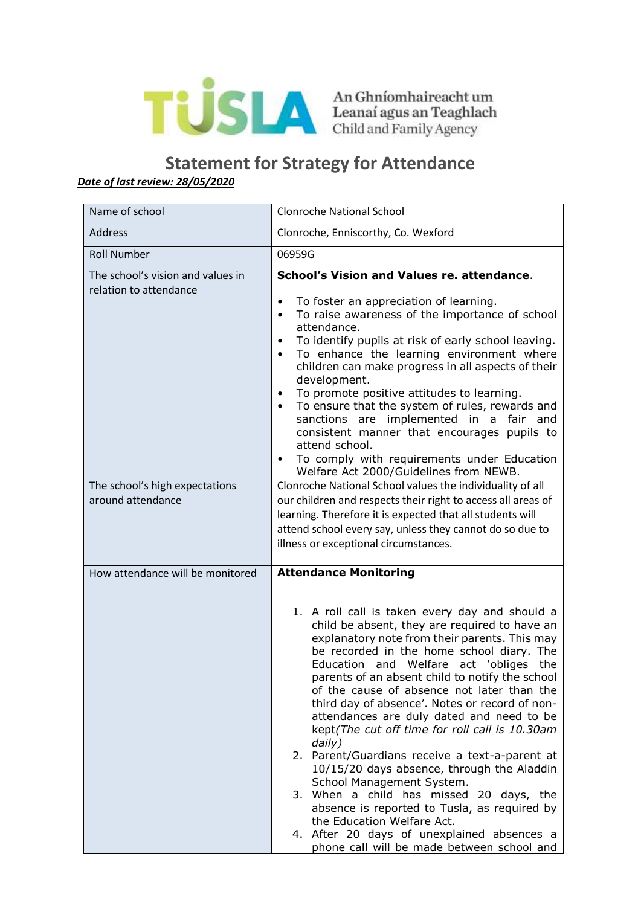

## **Statement for Strategy for Attendance** *Date of last review: 28/05/2020*

| Name of school                                              | <b>Clonroche National School</b>                                                                                                                                                                                                                                                                                                                                                                                                                                                                                                                                                                                                                                                                                                                                                                                                                                                      |
|-------------------------------------------------------------|---------------------------------------------------------------------------------------------------------------------------------------------------------------------------------------------------------------------------------------------------------------------------------------------------------------------------------------------------------------------------------------------------------------------------------------------------------------------------------------------------------------------------------------------------------------------------------------------------------------------------------------------------------------------------------------------------------------------------------------------------------------------------------------------------------------------------------------------------------------------------------------|
| Address                                                     | Clonroche, Enniscorthy, Co. Wexford                                                                                                                                                                                                                                                                                                                                                                                                                                                                                                                                                                                                                                                                                                                                                                                                                                                   |
| <b>Roll Number</b>                                          | 06959G                                                                                                                                                                                                                                                                                                                                                                                                                                                                                                                                                                                                                                                                                                                                                                                                                                                                                |
| The school's vision and values in<br>relation to attendance | School's Vision and Values re. attendance.<br>To foster an appreciation of learning.<br>$\bullet$<br>To raise awareness of the importance of school<br>$\bullet$<br>attendance.<br>To identify pupils at risk of early school leaving.<br>$\bullet$<br>To enhance the learning environment where<br>$\bullet$<br>children can make progress in all aspects of their<br>development.<br>To promote positive attitudes to learning.<br>$\bullet$<br>To ensure that the system of rules, rewards and<br>$\bullet$<br>sanctions are implemented in a fair and<br>consistent manner that encourages pupils to<br>attend school.<br>To comply with requirements under Education<br>Welfare Act 2000/Guidelines from NEWB.                                                                                                                                                                   |
| The school's high expectations<br>around attendance         | Clonroche National School values the individuality of all<br>our children and respects their right to access all areas of<br>learning. Therefore it is expected that all students will<br>attend school every say, unless they cannot do so due to<br>illness or exceptional circumstances.                                                                                                                                                                                                                                                                                                                                                                                                                                                                                                                                                                                           |
| How attendance will be monitored                            | <b>Attendance Monitoring</b><br>1. A roll call is taken every day and should a<br>child be absent, they are required to have an<br>explanatory note from their parents. This may<br>be recorded in the home school diary. The<br>Education and Welfare act 'obliges the<br>parents of an absent child to notify the school<br>of the cause of absence not later than the<br>third day of absence'. Notes or record of non-<br>attendances are duly dated and need to be<br>kept(The cut off time for roll call is 10.30am<br>daily)<br>2. Parent/Guardians receive a text-a-parent at<br>10/15/20 days absence, through the Aladdin<br>School Management System.<br>3. When a child has missed 20 days, the<br>absence is reported to Tusla, as required by<br>the Education Welfare Act.<br>4. After 20 days of unexplained absences a<br>phone call will be made between school and |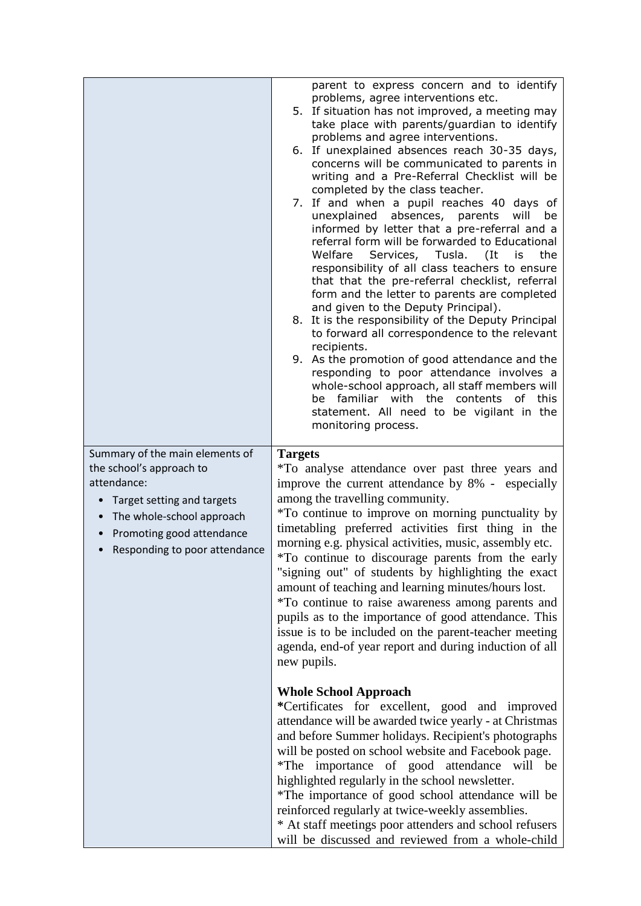|                                                                                                                                                                                                                                                         | parent to express concern and to identify<br>problems, agree interventions etc.<br>5. If situation has not improved, a meeting may<br>take place with parents/guardian to identify<br>problems and agree interventions.<br>6. If unexplained absences reach 30-35 days,<br>concerns will be communicated to parents in<br>writing and a Pre-Referral Checklist will be<br>completed by the class teacher.<br>7. If and when a pupil reaches 40 days of<br>unexplained absences, parents<br>will<br>be<br>informed by letter that a pre-referral and a<br>referral form will be forwarded to Educational<br>Welfare Services, Tusla. (It<br>is<br>the<br>responsibility of all class teachers to ensure<br>that that the pre-referral checklist, referral<br>form and the letter to parents are completed<br>and given to the Deputy Principal).<br>8. It is the responsibility of the Deputy Principal<br>to forward all correspondence to the relevant<br>recipients.<br>9. As the promotion of good attendance and the<br>responding to poor attendance involves a<br>whole-school approach, all staff members will<br>be familiar with the<br>contents of this<br>statement. All need to be vigilant in the<br>monitoring process. |
|---------------------------------------------------------------------------------------------------------------------------------------------------------------------------------------------------------------------------------------------------------|---------------------------------------------------------------------------------------------------------------------------------------------------------------------------------------------------------------------------------------------------------------------------------------------------------------------------------------------------------------------------------------------------------------------------------------------------------------------------------------------------------------------------------------------------------------------------------------------------------------------------------------------------------------------------------------------------------------------------------------------------------------------------------------------------------------------------------------------------------------------------------------------------------------------------------------------------------------------------------------------------------------------------------------------------------------------------------------------------------------------------------------------------------------------------------------------------------------------------------------|
| Summary of the main elements of<br>the school's approach to<br>attendance:<br>Target setting and targets<br>$\bullet$<br>The whole-school approach<br>$\bullet$<br>Promoting good attendance<br>$\bullet$<br>Responding to poor attendance<br>$\bullet$ | <b>Targets</b><br>*To analyse attendance over past three years and<br>improve the current attendance by 8% - especially<br>among the travelling community.<br>*To continue to improve on morning punctuality by<br>timetabling preferred activities first thing in the<br>morning e.g. physical activities, music, assembly etc.<br>*To continue to discourage parents from the early<br>"signing out" of students by highlighting the exact<br>amount of teaching and learning minutes/hours lost.<br>*To continue to raise awareness among parents and<br>pupils as to the importance of good attendance. This<br>issue is to be included on the parent-teacher meeting<br>agenda, end-of year report and during induction of all<br>new pupils.                                                                                                                                                                                                                                                                                                                                                                                                                                                                                    |
|                                                                                                                                                                                                                                                         | <b>Whole School Approach</b><br>*Certificates for excellent, good and improved<br>attendance will be awarded twice yearly - at Christmas<br>and before Summer holidays. Recipient's photographs<br>will be posted on school website and Facebook page.<br>*The importance of good attendance will be<br>highlighted regularly in the school newsletter.<br>*The importance of good school attendance will be<br>reinforced regularly at twice-weekly assemblies.<br>* At staff meetings poor attenders and school refusers<br>will be discussed and reviewed from a whole-child                                                                                                                                                                                                                                                                                                                                                                                                                                                                                                                                                                                                                                                       |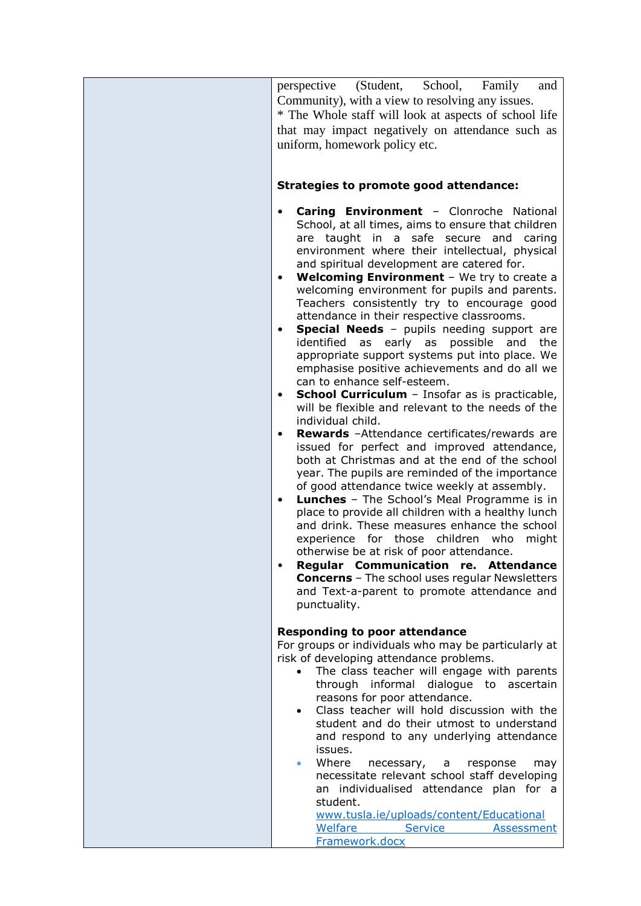| perspective (Student, School, Family<br>and<br>Community), with a view to resolving any issues.<br>* The Whole staff will look at aspects of school life<br>that may impact negatively on attendance such as<br>uniform, homework policy etc.<br><b>Strategies to promote good attendance:</b>                                                                                                                                                                                                                                                                                                                                                                                                                                                                                                                                                                                                                                                                                                                                                                                                                                                                                                                                                                                                                                                                                                                                                                                                                                                                                    |
|-----------------------------------------------------------------------------------------------------------------------------------------------------------------------------------------------------------------------------------------------------------------------------------------------------------------------------------------------------------------------------------------------------------------------------------------------------------------------------------------------------------------------------------------------------------------------------------------------------------------------------------------------------------------------------------------------------------------------------------------------------------------------------------------------------------------------------------------------------------------------------------------------------------------------------------------------------------------------------------------------------------------------------------------------------------------------------------------------------------------------------------------------------------------------------------------------------------------------------------------------------------------------------------------------------------------------------------------------------------------------------------------------------------------------------------------------------------------------------------------------------------------------------------------------------------------------------------|
| Caring Environment - Clonroche National<br>$\bullet$<br>School, at all times, aims to ensure that children<br>are taught in a safe secure and caring<br>environment where their intellectual, physical<br>and spiritual development are catered for.<br><b>Welcoming Environment</b> - We try to create a<br>$\bullet$<br>welcoming environment for pupils and parents.<br>Teachers consistently try to encourage good<br>attendance in their respective classrooms.<br><b>Special Needs</b> - pupils needing support are<br>$\bullet$<br>identified as early as<br>possible<br>and<br>the<br>appropriate support systems put into place. We<br>emphasise positive achievements and do all we<br>can to enhance self-esteem.<br><b>School Curriculum</b> - Insofar as is practicable,<br>$\bullet$<br>will be flexible and relevant to the needs of the<br>individual child.<br>Rewards - Attendance certificates/rewards are<br>$\bullet$<br>issued for perfect and improved attendance,<br>both at Christmas and at the end of the school<br>year. The pupils are reminded of the importance<br>of good attendance twice weekly at assembly.<br><b>Lunches</b> - The School's Meal Programme is in<br>$\bullet$<br>place to provide all children with a healthy lunch<br>and drink. These measures enhance the school<br>experience for those children who<br>might<br>otherwise be at risk of poor attendance.<br>Regular Communication re. Attendance<br><b>Concerns</b> - The school uses regular Newsletters<br>and Text-a-parent to promote attendance and<br>punctuality. |
| <b>Responding to poor attendance</b><br>For groups or individuals who may be particularly at<br>risk of developing attendance problems.<br>The class teacher will engage with parents<br>$\bullet$<br>through informal dialogue to ascertain<br>reasons for poor attendance.<br>Class teacher will hold discussion with the<br>$\bullet$<br>student and do their utmost to understand<br>and respond to any underlying attendance<br>issues.<br>Where<br>necessary, a<br>response<br>may<br>$\bullet$<br>necessitate relevant school staff developing<br>an individualised attendance plan for a<br>student.<br>www.tusla.ie/uploads/content/Educational<br>Welfare<br>Service<br><b>Assessment</b><br>Framework.docx                                                                                                                                                                                                                                                                                                                                                                                                                                                                                                                                                                                                                                                                                                                                                                                                                                                             |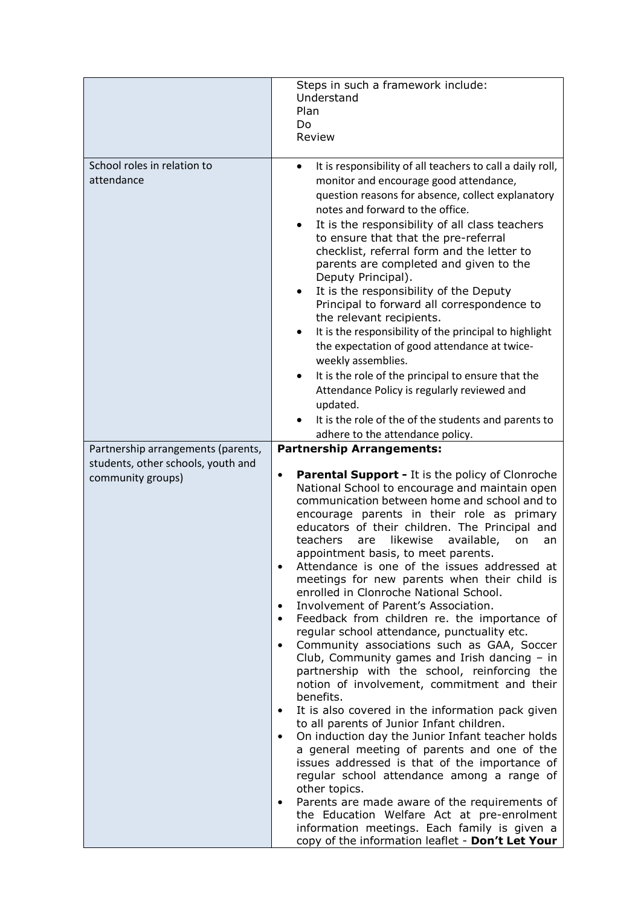|                                                                                               | Steps in such a framework include:<br>Understand<br>Plan<br>Do<br>Review                                                                                                                                                                                                                                                                                                                                                                                                                                                                                                                                                                                                                                                                                                                                                                                                                                                                                                                                                                                                                                                                                                                                                                                                                                                                                                                                                       |
|-----------------------------------------------------------------------------------------------|--------------------------------------------------------------------------------------------------------------------------------------------------------------------------------------------------------------------------------------------------------------------------------------------------------------------------------------------------------------------------------------------------------------------------------------------------------------------------------------------------------------------------------------------------------------------------------------------------------------------------------------------------------------------------------------------------------------------------------------------------------------------------------------------------------------------------------------------------------------------------------------------------------------------------------------------------------------------------------------------------------------------------------------------------------------------------------------------------------------------------------------------------------------------------------------------------------------------------------------------------------------------------------------------------------------------------------------------------------------------------------------------------------------------------------|
| School roles in relation to<br>attendance                                                     | It is responsibility of all teachers to call a daily roll,<br>monitor and encourage good attendance,<br>question reasons for absence, collect explanatory<br>notes and forward to the office.<br>It is the responsibility of all class teachers<br>to ensure that that the pre-referral<br>checklist, referral form and the letter to<br>parents are completed and given to the<br>Deputy Principal).<br>It is the responsibility of the Deputy<br>Principal to forward all correspondence to<br>the relevant recipients.<br>It is the responsibility of the principal to highlight<br>the expectation of good attendance at twice-<br>weekly assemblies.<br>It is the role of the principal to ensure that the<br>Attendance Policy is regularly reviewed and<br>updated.                                                                                                                                                                                                                                                                                                                                                                                                                                                                                                                                                                                                                                                     |
|                                                                                               | It is the role of the of the students and parents to<br>adhere to the attendance policy.                                                                                                                                                                                                                                                                                                                                                                                                                                                                                                                                                                                                                                                                                                                                                                                                                                                                                                                                                                                                                                                                                                                                                                                                                                                                                                                                       |
| Partnership arrangements (parents,<br>students, other schools, youth and<br>community groups) | <b>Partnership Arrangements:</b><br><b>Parental Support - It is the policy of Clonroche</b><br>$\bullet$<br>National School to encourage and maintain open<br>communication between home and school and to<br>encourage parents in their role as primary<br>educators of their children. The Principal and<br>teachers<br>likewise<br>available,<br>are<br>on<br>an<br>appointment basis, to meet parents.<br>Attendance is one of the issues addressed at<br>meetings for new parents when their child is<br>enrolled in Clonroche National School.<br>Involvement of Parent's Association.<br>Feedback from children re. the importance of<br>regular school attendance, punctuality etc.<br>Community associations such as GAA, Soccer<br>Club, Community games and Irish dancing $-$ in<br>partnership with the school, reinforcing the<br>notion of involvement, commitment and their<br>benefits.<br>It is also covered in the information pack given<br>to all parents of Junior Infant children.<br>On induction day the Junior Infant teacher holds<br>a general meeting of parents and one of the<br>issues addressed is that of the importance of<br>regular school attendance among a range of<br>other topics.<br>Parents are made aware of the requirements of<br>the Education Welfare Act at pre-enrolment<br>information meetings. Each family is given a<br>copy of the information leaflet - Don't Let Your |